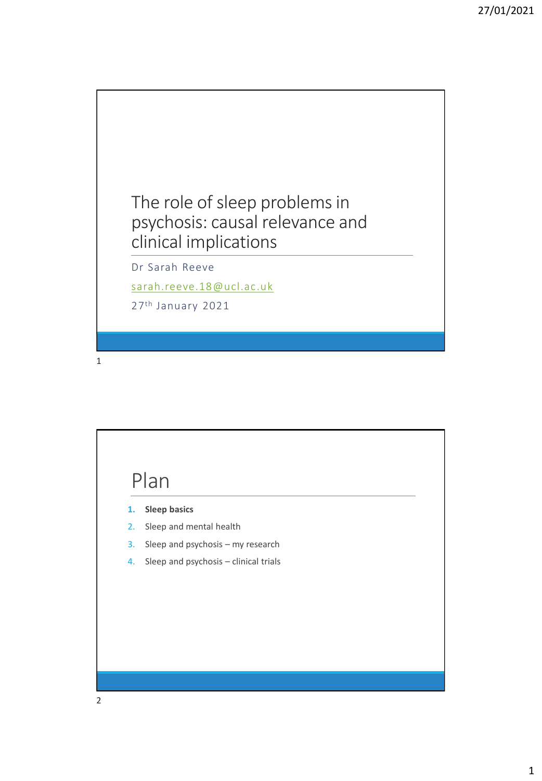The role of sleep problems in psychosis: causal relevance and clinical implications

Dr Sarah Reeve

[sarah.reeve.18@ucl.ac.uk](mailto:sarah.reeve.18@ucl.ac.uk)

27th January 2021

1

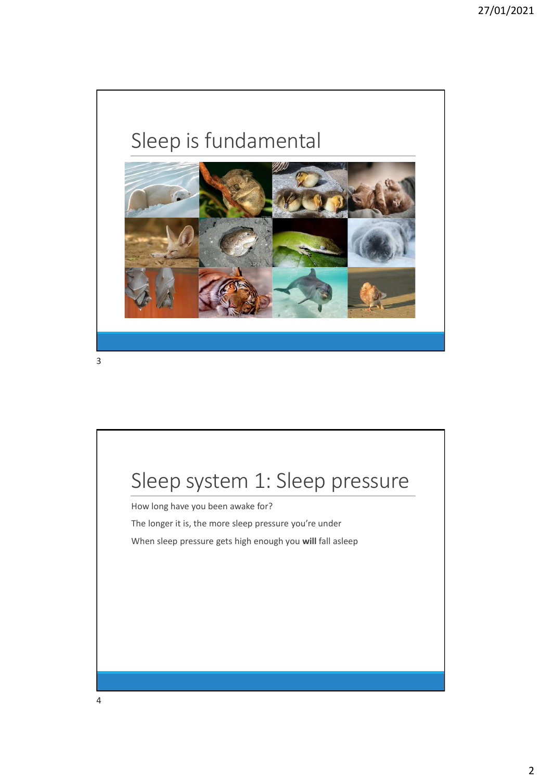# Sleep is fundamental



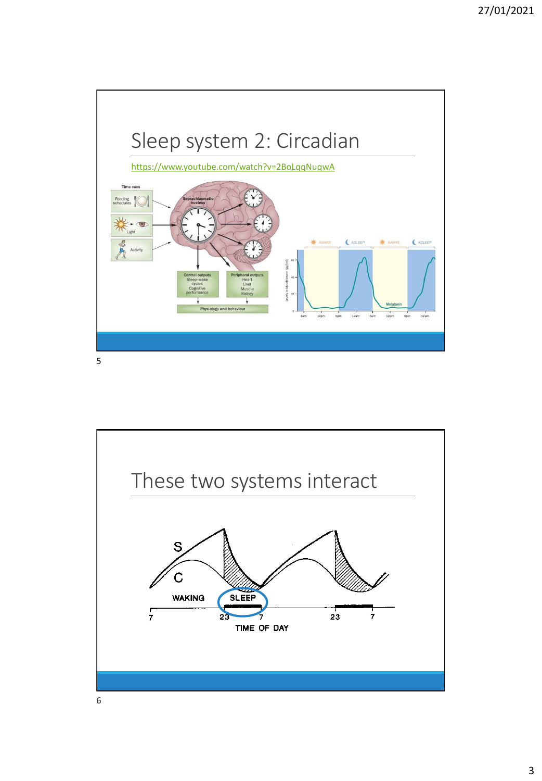

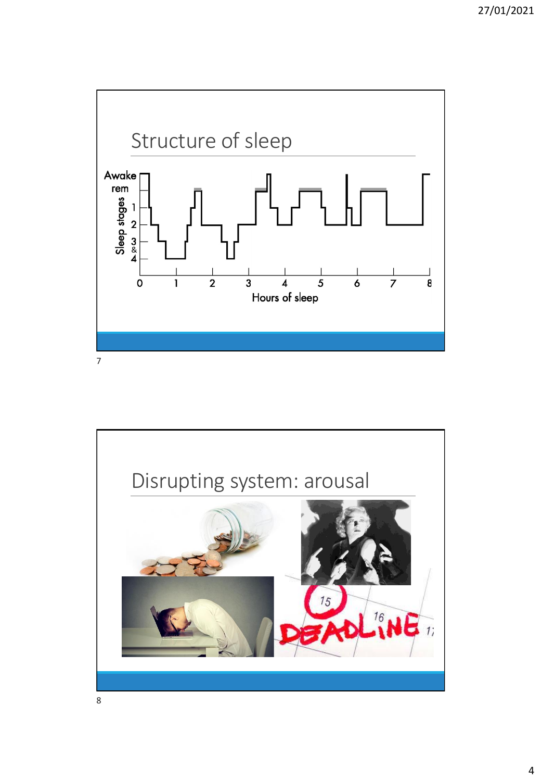

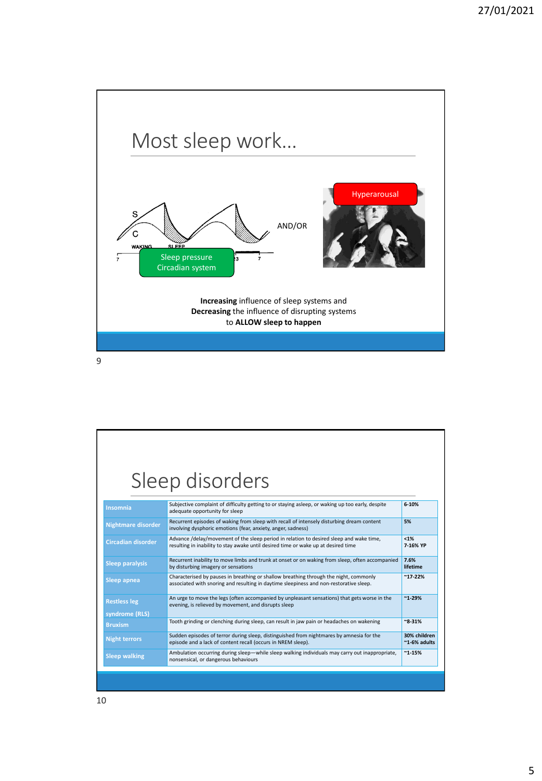

|                           | Sleep disorders                                                                                                                                                                 |                                 |
|---------------------------|---------------------------------------------------------------------------------------------------------------------------------------------------------------------------------|---------------------------------|
| Insomnia                  | Subjective complaint of difficulty getting to or staying asleep, or waking up too early, despite<br>adequate opportunity for sleep                                              | $6 - 10%$                       |
| Nightmare disorder        | Recurrent episodes of waking from sleep with recall of intensely disturbing dream content<br>involving dysphoric emotions (fear, anxiety, anger, sadness)                       | 5%                              |
| <b>Circadian disorder</b> | Advance /delay/movement of the sleep period in relation to desired sleep and wake time,<br>resulting in inability to stay awake until desired time or wake up at desired time   | $< 1\%$<br>7-16% YP             |
| <b>Sleep paralysis</b>    | Recurrent inability to move limbs and trunk at onset or on waking from sleep, often accompanied<br>by disturbing imagery or sensations                                          | 7.6%<br>lifetime                |
| Sleep apnea               | Characterised by pauses in breathing or shallow breathing through the night, commonly<br>associated with snoring and resulting in daytime sleepiness and non-restorative sleep. | $^{\sim}$ 17-22%                |
| <b>Restless leg</b>       | An urge to move the legs (often accompanied by unpleasant sensations) that gets worse in the<br>evening, is relieved by movement, and disrupts sleep                            | $~^{\sim}$ 1-29%                |
| syndrome (RLS)            |                                                                                                                                                                                 |                                 |
| <b>Bruxism</b>            | Tooth grinding or clenching during sleep, can result in jaw pain or headaches on wakening                                                                                       | $~8 - 31%$                      |
| <b>Night terrors</b>      | Sudden episodes of terror during sleep, distinguished from nightmares by amnesia for the<br>episode and a lack of content recall (occurs in NREM sleep).                        | 30% children<br>$~1$ -6% adults |
| <b>Sleep walking</b>      | Ambulation occurring during sleep—while sleep walking individuals may carry out inappropriate,<br>nonsensical, or dangerous behaviours                                          | $^{\sim}$ 1-15%                 |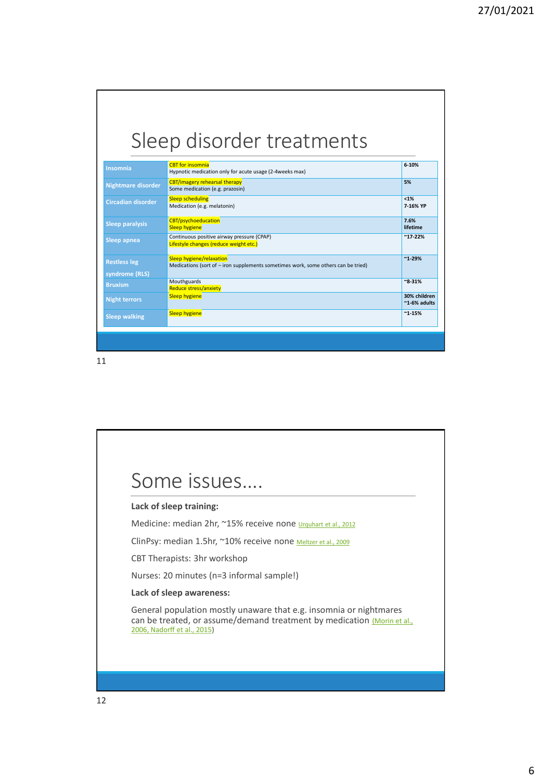|                                  | Sleep disorder treatments                                                                                     |                                 |
|----------------------------------|---------------------------------------------------------------------------------------------------------------|---------------------------------|
| Insomnia                         | <b>CBT</b> for insomnia<br>Hypnotic medication only for acute usage (2-4weeks max)                            | 6-10%                           |
| Nightmare disorder               | <b>CBT/imagery rehearsal therapy</b><br>Some medication (e.g. prazosin)                                       | 5%                              |
| <b>Circadian disorder</b>        | <b>Sleep scheduling</b><br>Medication (e.g. melatonin)                                                        | $< 1\%$<br>7-16% YP             |
| <b>Sleep paralysis</b>           | <b>CBT/psychoeducation</b><br><b>Sleep hygiene</b>                                                            | 7.6%<br>lifetime                |
| Sleep apnea                      | Continuous positive airway pressure (CPAP)<br>Lifestyle changes (reduce weight etc.)                          | $^{\sim}$ 17-22%                |
| <b>Restless leg</b>              | Sleep hygiene/relaxation<br>Medications (sort of - iron supplements sometimes work, some others can be tried) | $~^{\sim}$ 1-29%                |
| syndrome (RLS)<br><b>Bruxism</b> | Mouthguards<br><b>Reduce stress/anxiety</b>                                                                   | $~8 - 31%$                      |
| <b>Night terrors</b>             | <b>Sleep hygiene</b>                                                                                          | 30% children<br>$~1$ -6% adults |
| <b>Sleep walking</b>             | <b>Sleep hygiene</b>                                                                                          | $^{\sim}$ 1-15%                 |

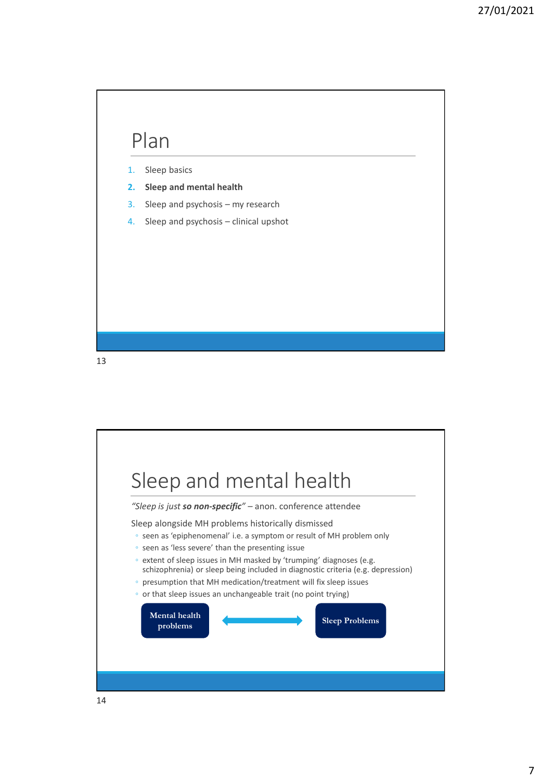

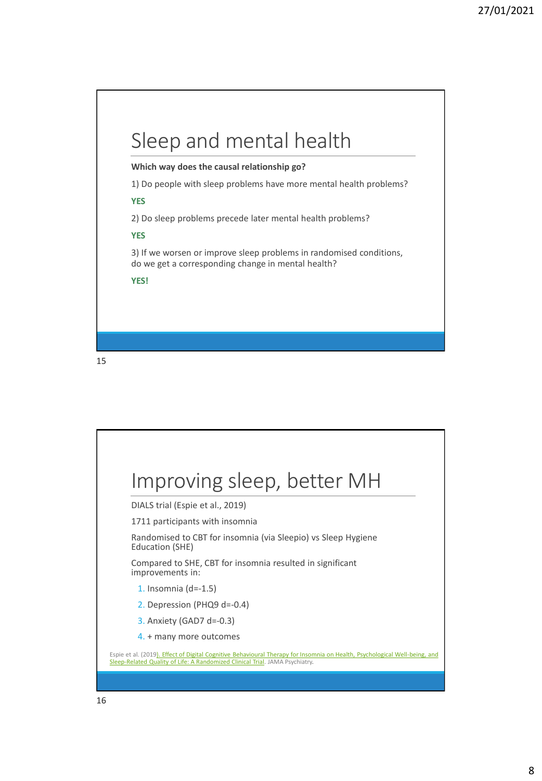

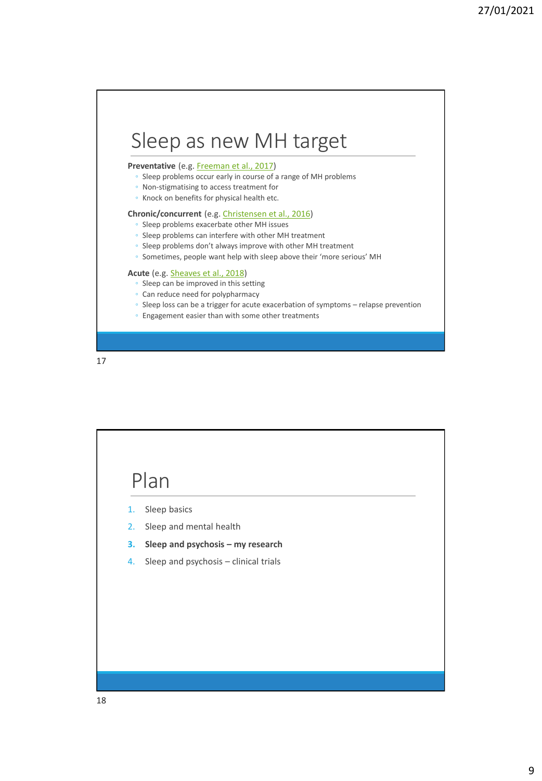### Sleep as new MH target

#### Preventative (e.g. [Freeman et al., 2017](https://www.ncbi.nlm.nih.gov/pubmed/28888927))

- Sleep problems occur early in course of a range of MH problems
- Non-stigmatising to access treatment for
- Knock on benefits for physical health etc.

#### **Chronic/concurrent** (e.g. [Christensen et al., 2016\)](https://www.ncbi.nlm.nih.gov/pubmed/26827250)

- Sleep problems exacerbate other MH issues
- Sleep problems can interfere with other MH treatment
- Sleep problems don't always improve with other MH treatment
- Sometimes, people want help with sleep above their 'more serious' MH

#### **Acute** (e.g. [Sheaves et al., 2018](https://www.ncbi.nlm.nih.gov/pubmed/29108526))

- Sleep can be improved in this setting
- Can reduce need for polypharmacy
- Sleep loss can be a trigger for acute exacerbation of symptoms relapse prevention
- Engagement easier than with some other treatments

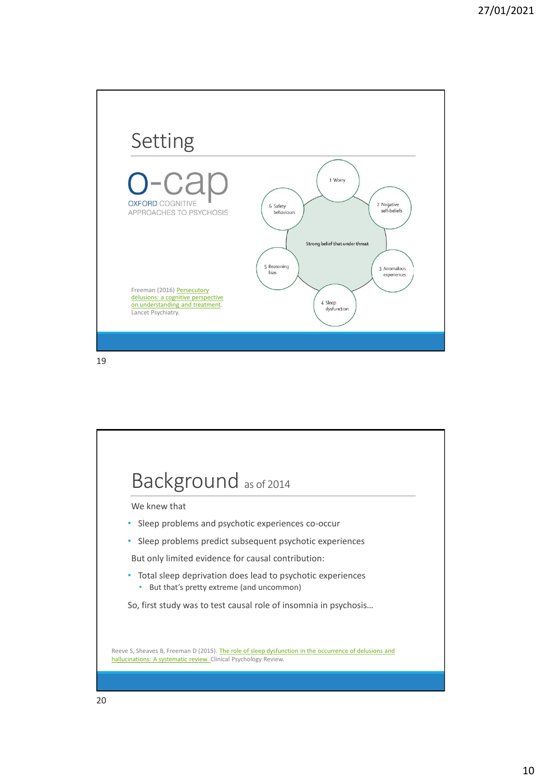

Background as of 2014 We knew that • Sleep problems and psychotic experiences co-occur • Sleep problems predict subsequent psychotic experiences But only limited evidence for causal contribution: • Total sleep deprivation does lead to psychotic experiences • But that's pretty extreme (and uncommon) So, first study was to test causal role of insomnia in psychosis… Reeve S, Sheaves B, Freeman D (2015). The role of sleep dysfunction in the occurrence of delusions and hallucinations: A systematic review. Clinical Psychology Review.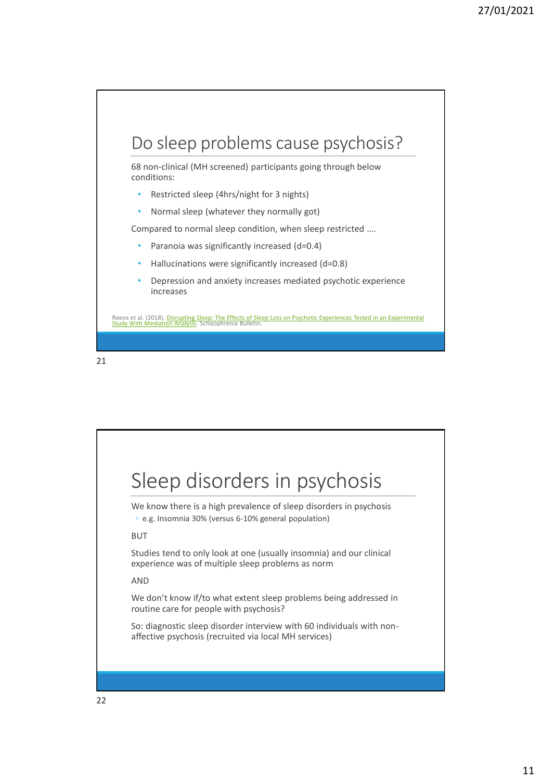## Do sleep problems cause psychosis? 68 non-clinical (MH screened) participants going through below conditions: • Restricted sleep (4hrs/night for 3 nights) • Normal sleep (whatever they normally got) Compared to normal sleep condition, when sleep restricted …. Paranoia was significantly increased (d=0.4) • Hallucinations were significantly increased (d=0.8) • Depression and anxiety increases mediated psychotic experience increases Reeve et al. (2018). <u>Disrupting Sleep: The Effects of Sleep Loss on Psychotic Experiences Tested in an Experimental</u><br><u>Study With Mediation Analysis</u>. Schizophrenia Bulletin.

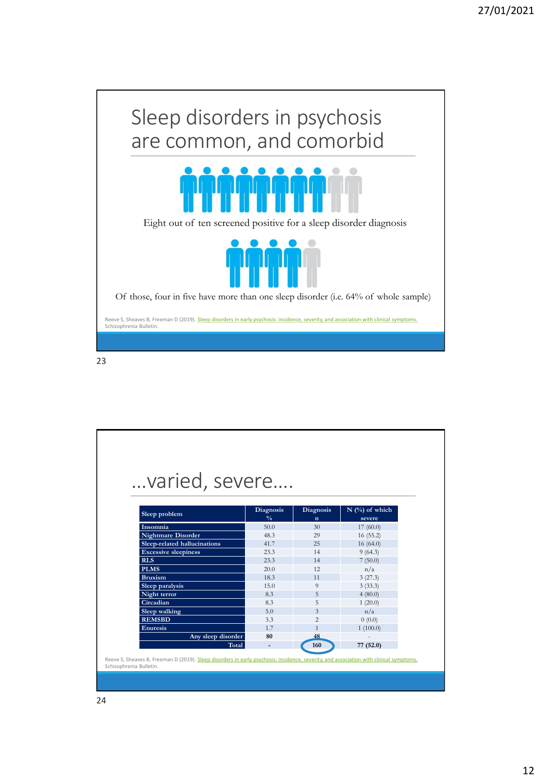

| varied, severe               |                          |                          |                            |
|------------------------------|--------------------------|--------------------------|----------------------------|
|                              |                          |                          |                            |
|                              |                          |                          |                            |
| Sleep problem                | Diagnosis                | Diagnosis<br>$\mathbf n$ | $N$ (%) of which<br>severe |
|                              | $\frac{0}{0}$            |                          |                            |
| Insomnia                     | 50.0                     | 30                       | 17(60.0)                   |
| <b>Nightmare Disorder</b>    | 48.3                     | 29                       | 16(55.2)                   |
| Sleep-related hallucinations | 41.7                     | 25                       | 16(64.0)                   |
| <b>Excessive sleepiness</b>  | 23.3                     | 14                       | 9(64.3)                    |
| <b>RLS</b>                   | 23.3                     | 14                       | 7(50.0)                    |
| <b>PLMS</b>                  | 20.0                     | 12                       | n/a                        |
| <b>Bruxism</b>               | 18.3                     | 11                       | 3(27.3)                    |
| <b>Sleep paralysis</b>       | 15.0                     | 9                        | 3(33.3)                    |
| Night terror                 | 8.3                      | 5                        | 4(80.0)                    |
| Circadian                    | 8.3                      | 5                        | 1(20.0)                    |
| Sleep walking                | 5.0                      | $\overline{\mathbf{3}}$  | n/a                        |
| <b>REMSBD</b>                | 3.3                      | $\overline{c}$           | 0(0.0)                     |
| <b>Enuresis</b>              | 1.7                      | $\mathbf{1}$             | 1(100.0)                   |
| Any sleep disorder           | 80                       | 48                       |                            |
| Total                        | $\overline{\phantom{m}}$ | 160                      | 77 (52.0)                  |
|                              |                          |                          |                            |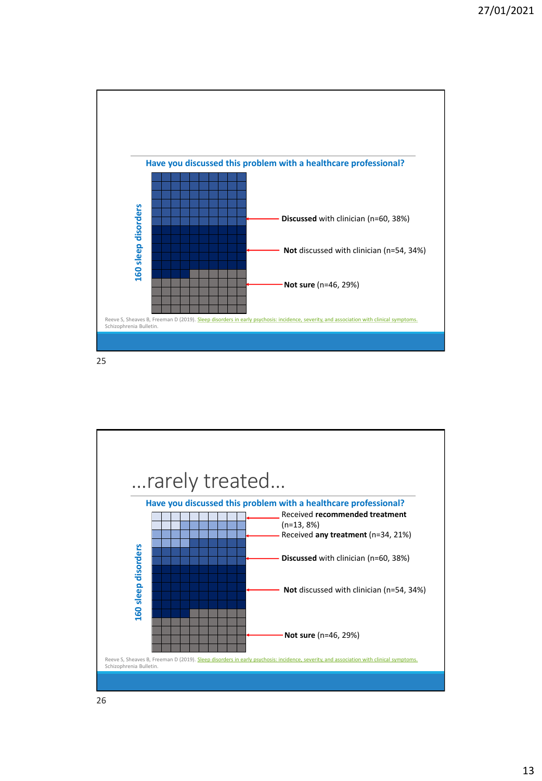

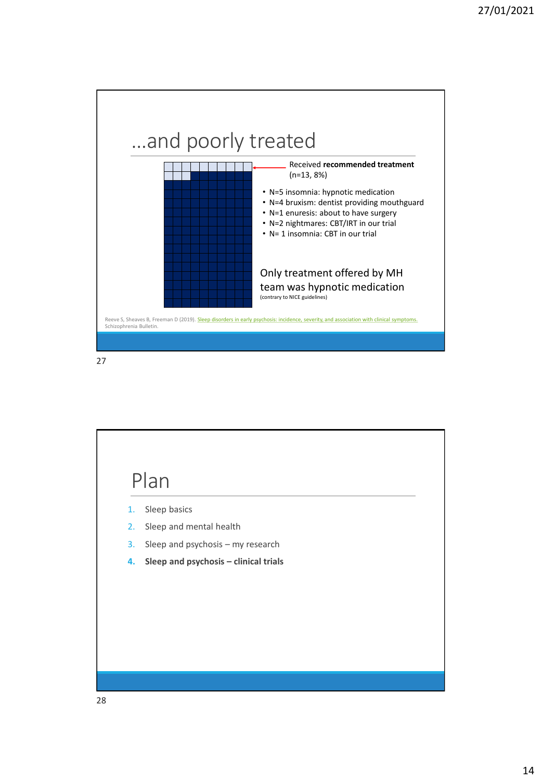

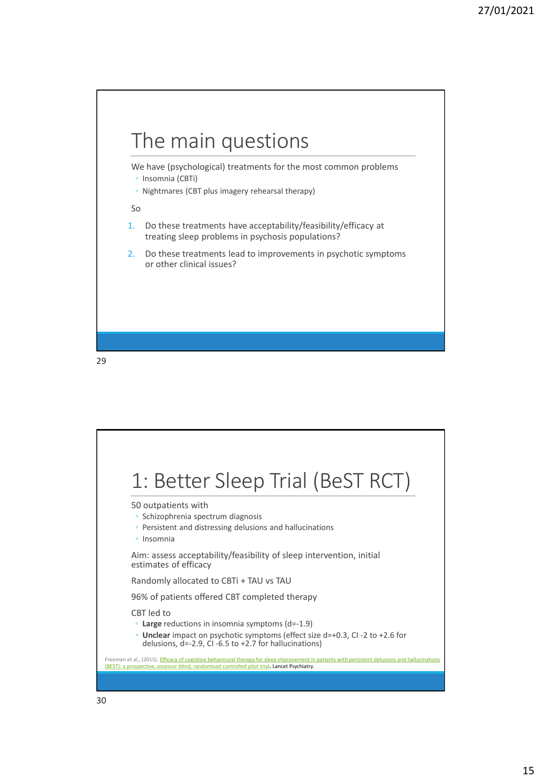

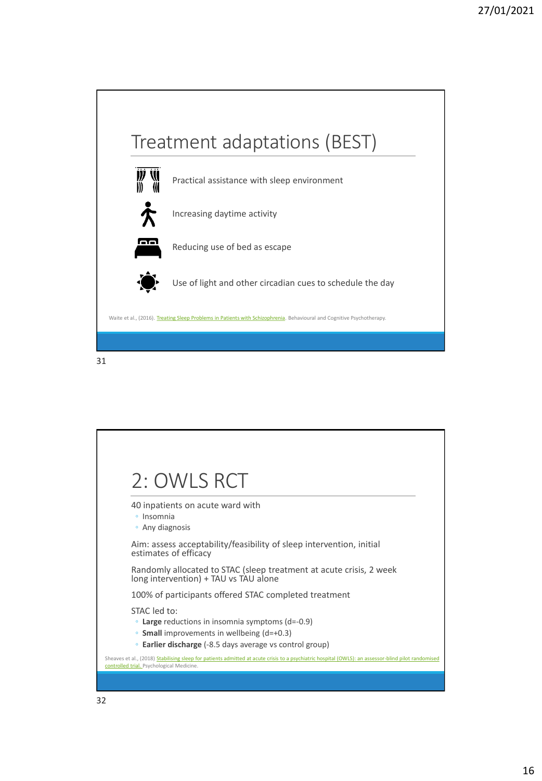

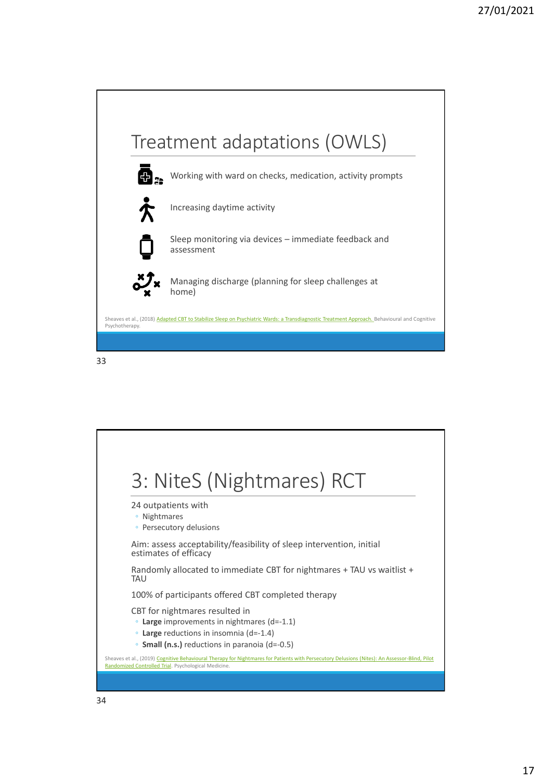



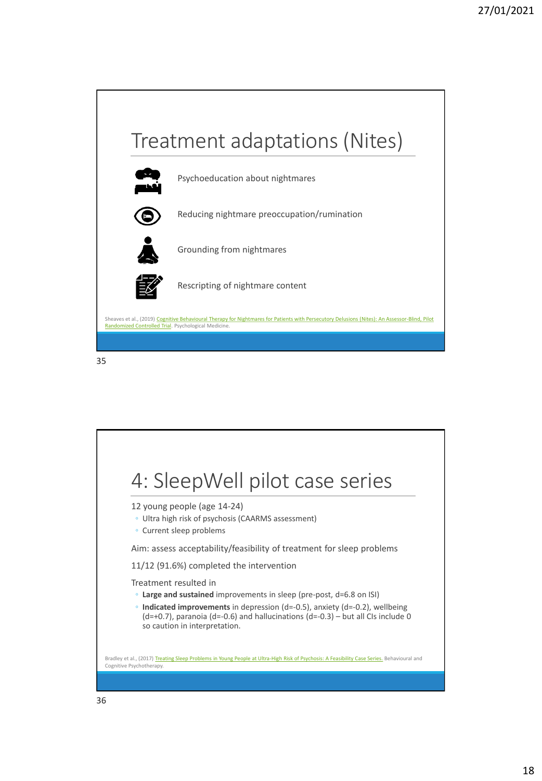

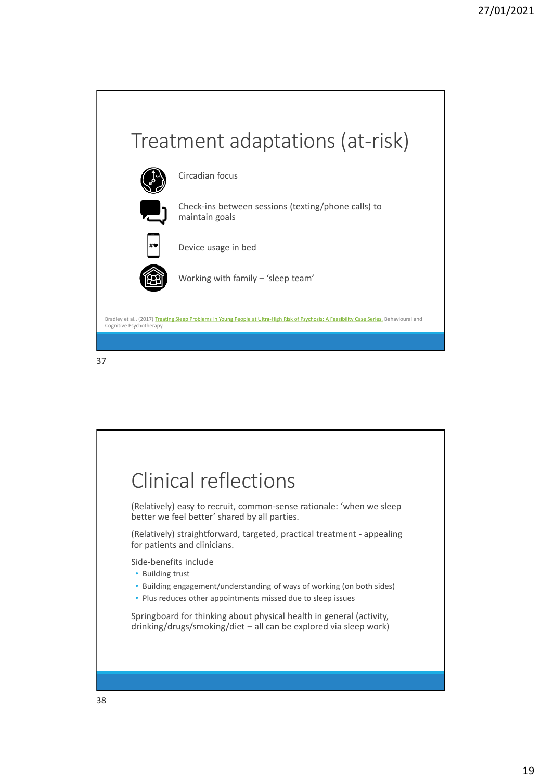

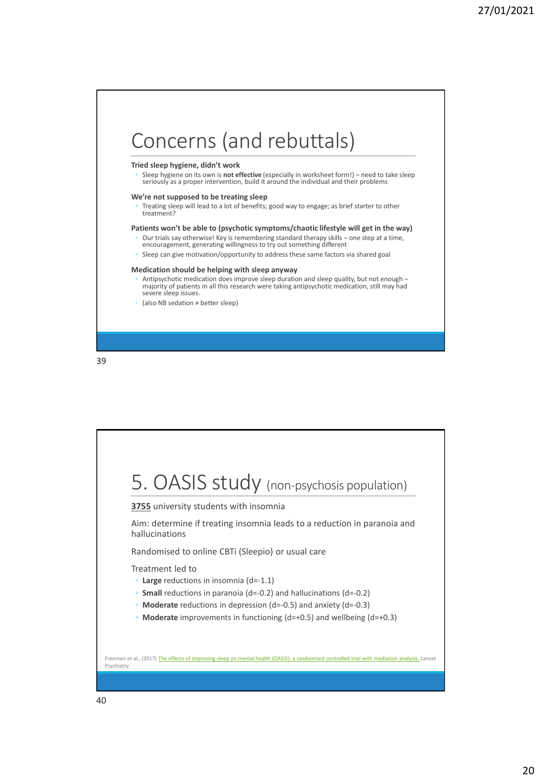

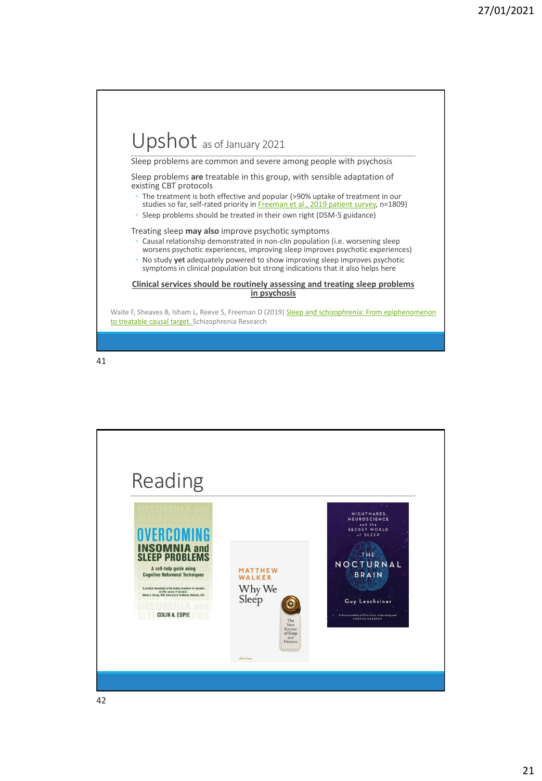### Upshot as of January 2021 Sleep problems are common and severe among people with psychosis Sleep problems **are** treatable in this group, with sensible adaptation of existing CBT protocols The treatment is both effective and popular (>90% uptake of treatment in our studies so far, self-rated priority in [Freeman et al., 2019 patient survey,](https://www.sciencedirect.com/science/article/pii/S0920996419302944) n=1809) ◦ Sleep problems should be treated in their own right (DSM-5 guidance) Treating sleep **may also** improve psychotic symptoms Causal relationship demonstrated in non-clin population (i.e. worsening sleep worsens psychotic experiences, improving sleep improves psychotic experiences) ◦ No study **yet** adequately powered to show improving sleep improves psychotic symptoms in clinical population but strong indications that it also helps here **Clinical services should be routinely assessing and treating sleep problems in psychosis** Waite F, Sheaves B, Isham L, Reeve S, Freeman D (2019) Sleep and schizophrenia: From epiphenomenon to treatable causal target. Schizophrenia Research